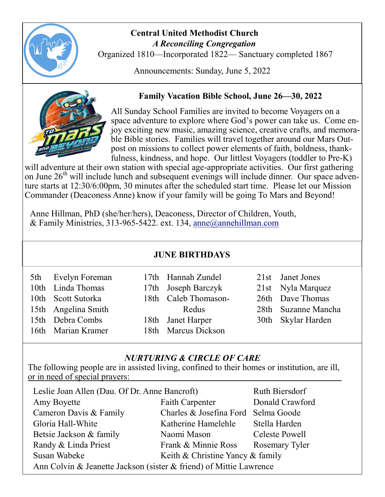

#### **Central United Methodist Church**  *A Reconciling Congregation*

Organized 1810—Incorporated 1822— Sanctuary completed 1867

Announcements: Sunday, June 5, 2022



## **Family Vacation Bible School, June 26—30, 2022**

All Sunday School Families are invited to become Voyagers on a space adventure to explore where God's power can take us. Come enjoy exciting new music, amazing science, creative crafts, and memorable Bible stories. Families will travel together around our Mars Outpost on missions to collect power elements of faith, boldness, thankfulness, kindness, and hope. Our littlest Voyagers (toddler to Pre-K)

will adventure at their own station with special age-appropriate activities. Our first gathering on June 26<sup>th</sup> will include lunch and subsequent evenings will include dinner. Our space adventure starts at 12:30/6:00pm, 30 minutes after the scheduled start time. Please let our Mission Commander (Deaconess Anne) know if your family will be going To Mars and Beyond!

Anne Hillman, PhD (she/her/hers), Deaconess, Director of Children, Youth, & Family Ministries, 313-965-5422. ext. 134, [anne@annehillman.com](mailto:anne@annehillman.com)

### **JUNE BIRTHDAYS**

| 5th Evelyn Foreman  | 17th Hannah Zundel   | 21st Janet Jones    |
|---------------------|----------------------|---------------------|
| 10th Linda Thomas   | 17th Joseph Barczyk  | 21st Nyla Marquez   |
| 10th Scott Sutorka  | 18th Caleb Thomason- | 26th Dave Thomas    |
| 15th Angelina Smith | Redus                | 28th Suzanne Mancha |
| 15th Debra Combs    | 18th Janet Harper    | 30th Skylar Harden  |
| 16th Marian Kramer  | 18th Marcus Dickson  |                     |

### *NURTURING & CIRCLE OF CARE*

The following people are in assisted living, confined to their homes or institution, are ill, or in need of special prayers:

| Leslie Joan Allen (Dau. Of Dr. Anne Bancroft)                      | Ruth Biersdorf                      |                 |  |  |  |
|--------------------------------------------------------------------|-------------------------------------|-----------------|--|--|--|
| Amy Boyette                                                        | <b>Faith Carpenter</b>              | Donald Crawford |  |  |  |
| Cameron Davis & Family                                             | Charles & Josefina Ford Selma Goode |                 |  |  |  |
| Gloria Hall-White                                                  | Katherine Hamelehle                 | Stella Harden   |  |  |  |
| Betsie Jackson & family                                            | Naomi Mason                         | Celeste Powell  |  |  |  |
| Randy & Linda Priest                                               | Frank & Minnie Ross                 | Rosemary Tyler  |  |  |  |
| Susan Wabeke                                                       | Keith & Christine Yancy & family    |                 |  |  |  |
| Ann Colvin & Jeanette Jackson (sister & friend) of Mittie Lawrence |                                     |                 |  |  |  |